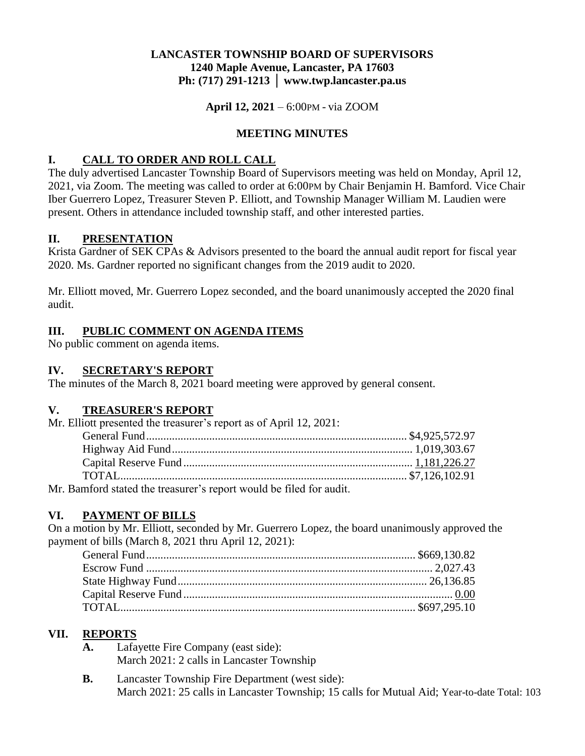## **LANCASTER TOWNSHIP BOARD OF SUPERVISORS 1240 Maple Avenue, Lancaster, PA 17603 Ph: (717) 291-1213 │ www.twp.lancaster.pa.us**

**April 12, 2021** – 6:00PM - via ZOOM

## **MEETING MINUTES**

## **I. CALL TO ORDER AND ROLL CALL**

The duly advertised Lancaster Township Board of Supervisors meeting was held on Monday, April 12, 2021, via Zoom. The meeting was called to order at 6:00PM by Chair Benjamin H. Bamford. Vice Chair Iber Guerrero Lopez, Treasurer Steven P. Elliott, and Township Manager William M. Laudien were present. Others in attendance included township staff, and other interested parties.

### **II. PRESENTATION**

Krista Gardner of SEK CPAs & Advisors presented to the board the annual audit report for fiscal year 2020. Ms. Gardner reported no significant changes from the 2019 audit to 2020.

Mr. Elliott moved, Mr. Guerrero Lopez seconded, and the board unanimously accepted the 2020 final audit.

## **III. PUBLIC COMMENT ON AGENDA ITEMS**

No public comment on agenda items.

### **IV. SECRETARY'S REPORT**

The minutes of the March 8, 2021 board meeting were approved by general consent.

# **V. TREASURER'S REPORT**

Mr. Elliott presented the treasurer's report as of April 12, 2021:

| Mr. Bamford stated the treasurer's report would be filed for audit. |  |
|---------------------------------------------------------------------|--|

# **VI. PAYMENT OF BILLS**

On a motion by Mr. Elliott, seconded by Mr. Guerrero Lopez, the board unanimously approved the payment of bills (March 8, 2021 thru April 12, 2021):

# **VII. REPORTS**

- **A.** Lafayette Fire Company (east side): March 2021: 2 calls in Lancaster Township
- **B.** Lancaster Township Fire Department (west side): March 2021: 25 calls in Lancaster Township; 15 calls for Mutual Aid; Year-to-date Total: 103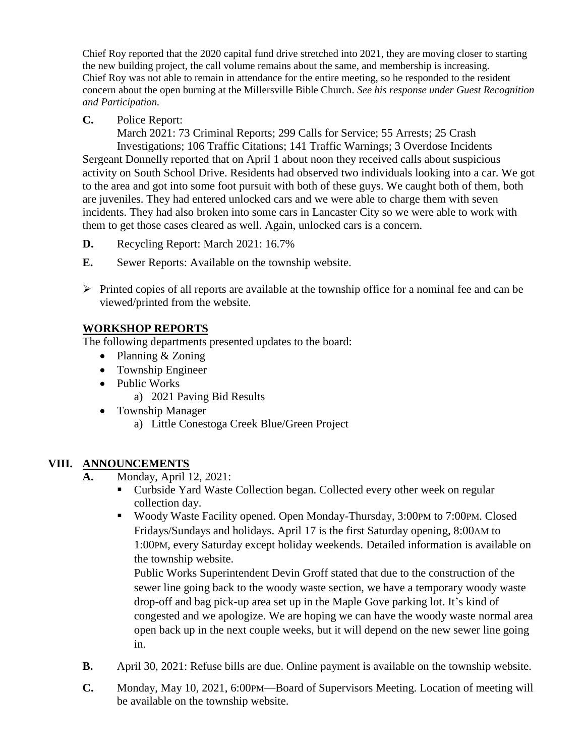Chief Roy reported that the 2020 capital fund drive stretched into 2021, they are moving closer to starting the new building project, the call volume remains about the same, and membership is increasing. Chief Roy was not able to remain in attendance for the entire meeting, so he responded to the resident concern about the open burning at the Millersville Bible Church. *See his response under Guest Recognition and Participation.*

**C.** Police Report:

March 2021: 73 Criminal Reports; 299 Calls for Service; 55 Arrests; 25 Crash

Investigations; 106 Traffic Citations; 141 Traffic Warnings; 3 Overdose Incidents Sergeant Donnelly reported that on April 1 about noon they received calls about suspicious activity on South School Drive. Residents had observed two individuals looking into a car. We got to the area and got into some foot pursuit with both of these guys. We caught both of them, both are juveniles. They had entered unlocked cars and we were able to charge them with seven incidents. They had also broken into some cars in Lancaster City so we were able to work with them to get those cases cleared as well. Again, unlocked cars is a concern.

- **D.** Recycling Report: March 2021: 16.7%
- **E.** Sewer Reports: Available on the township website.
- $\triangleright$  Printed copies of all reports are available at the township office for a nominal fee and can be viewed/printed from the website.

# **WORKSHOP REPORTS**

The following departments presented updates to the board:

- Planning & Zoning
- Township Engineer
- Public Works
	- a) 2021 Paving Bid Results
- Township Manager
	- a) Little Conestoga Creek Blue/Green Project

# **VIII. ANNOUNCEMENTS**

- **A.** Monday, April 12, 2021:
	- Curbside Yard Waste Collection began. Collected every other week on regular collection day.
	- Woody Waste Facility opened. Open Monday-Thursday, 3:00PM to 7:00PM. Closed Fridays/Sundays and holidays. April 17 is the first Saturday opening, 8:00AM to 1:00PM, every Saturday except holiday weekends. Detailed information is available on the township website.

Public Works Superintendent Devin Groff stated that due to the construction of the sewer line going back to the woody waste section, we have a temporary woody waste drop-off and bag pick-up area set up in the Maple Gove parking lot. It's kind of congested and we apologize. We are hoping we can have the woody waste normal area open back up in the next couple weeks, but it will depend on the new sewer line going in.

- **B.** April 30, 2021: Refuse bills are due. Online payment is available on the township website.
- **C.** Monday, May 10, 2021, 6:00PM—Board of Supervisors Meeting. Location of meeting will be available on the township website.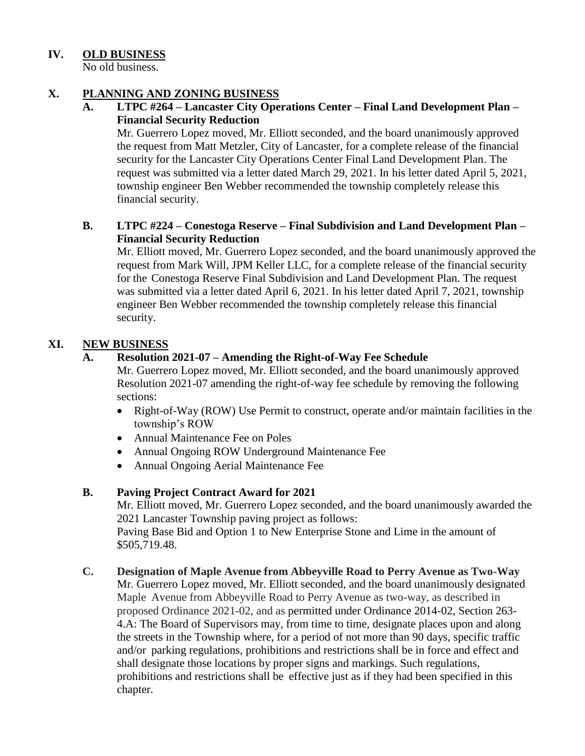## **IV. OLD BUSINESS**

No old business.

### **X. PLANNING AND ZONING BUSINESS**

#### **A. LTPC #264 – Lancaster City Operations Center – Final Land Development Plan – Financial Security Reduction**

Mr. Guerrero Lopez moved, Mr. Elliott seconded, and the board unanimously approved the request from Matt Metzler, City of Lancaster, for a complete release of the financial security for the Lancaster City Operations Center Final Land Development Plan. The request was submitted via a letter dated March 29, 2021. In his letter dated April 5, 2021, township engineer Ben Webber recommended the township completely release this financial security.

### **B. LTPC #224 – Conestoga Reserve – Final Subdivision and Land Development Plan – Financial Security Reduction**

Mr. Elliott moved, Mr. Guerrero Lopez seconded, and the board unanimously approved the request from Mark Will, JPM Keller LLC, for a complete release of the financial security for the Conestoga Reserve Final Subdivision and Land Development Plan. The request was submitted via a letter dated April 6, 2021. In his letter dated April 7, 2021, township engineer Ben Webber recommended the township completely release this financial security.

### **XI. NEW BUSINESS**

### **A. Resolution 2021-07 – Amending the Right-of-Way Fee Schedule**

Mr. Guerrero Lopez moved, Mr. Elliott seconded, and the board unanimously approved Resolution 2021-07 amending the right-of-way fee schedule by removing the following sections:

- Right-of-Way (ROW) Use Permit to construct, operate and/or maintain facilities in the township's ROW
- Annual Maintenance Fee on Poles
- Annual Ongoing ROW Underground Maintenance Fee
- Annual Ongoing Aerial Maintenance Fee

### **B. Paving Project Contract Award for 2021**

Mr. Elliott moved, Mr. Guerrero Lopez seconded, and the board unanimously awarded the 2021 Lancaster Township paving project as follows:

Paving Base Bid and Option 1 to New Enterprise Stone and Lime in the amount of \$505,719.48.

**C. Designation of Maple Avenue from Abbeyville Road to Perry Avenue as Two-Way** Mr. Guerrero Lopez moved, Mr. Elliott seconded, and the board unanimously designated Maple Avenue from Abbeyville Road to Perry Avenue as two-way, as described in proposed Ordinance 2021-02, and as permitted under Ordinance 2014-02, Section 263- 4.A: The Board of Supervisors may, from time to time, designate places upon and along the streets in the Township where, for a period of not more than 90 days, specific traffic and/or parking regulations, prohibitions and restrictions shall be in force and effect and shall designate those locations by proper signs and markings. Such regulations, prohibitions and restrictions shall be effective just as if they had been specified in this chapter.